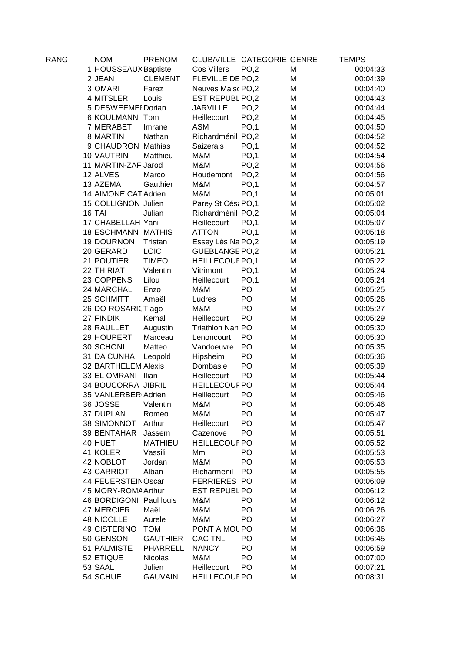| <b>RANG</b> | <b>NOM</b>                | <b>PRENOM</b>   |                              | CLUB/VILLE CATEGORIE GENRE |   | <b>TEMPS</b> |
|-------------|---------------------------|-----------------|------------------------------|----------------------------|---|--------------|
|             | 1 HOUSSEAUX Baptiste      |                 | Cos Villers                  | PO,2                       | M | 00:04:33     |
|             | 2 JEAN                    | <b>CLEMENT</b>  | FLEVILLE DE PO,2             |                            | M | 00:04:39     |
|             | 3 OMARI                   | Farez           | Neuves Maisc PO,2            |                            | M | 00:04:40     |
|             | 4 MITSLER                 | Louis           | EST REPUBL PO,2              |                            | M | 00:04:43     |
|             | 5 DESWEEMEI Dorian        |                 | <b>JARVILLE</b>              | PO,2                       | M | 00:04:44     |
|             | 6 KOULMANN Tom            |                 | Heillecourt                  | PO,2                       | M | 00:04:45     |
|             | 7 MERABET                 | Imrane          | <b>ASM</b>                   | PO,1                       | M | 00:04:50     |
|             | 8 MARTIN                  | Nathan          | Richardménil PO,2            |                            | M | 00:04:52     |
|             | 9 CHAUDRON Mathias        |                 | Saizerais                    | PO,1                       | M | 00:04:52     |
|             | <b>10 VAUTRIN</b>         | Matthieu        | M&M                          | PO,1                       | M | 00:04:54     |
|             | 11 MARTIN-ZAF Jarod       |                 | M&M                          | PO,2                       | M | 00:04:56     |
|             | 12 ALVES                  | Marco           | Houdemont                    | PO,2                       | M | 00:04:56     |
|             | 13 AZEMA                  | Gauthier        | M&M                          | PO,1                       | M | 00:04:57     |
|             | 14 AIMONE CAT Adrien      |                 | M&M                          | PO,1                       | M | 00:05:01     |
|             | 15 COLLIGNON Julien       |                 | Parey St Césa PO,1           |                            | M | 00:05:02     |
|             | <b>16 TAI</b>             | Julian          | Richardménil PO,2            |                            | M | 00:05:04     |
|             | 17 CHABELLAH Yani         |                 | Heillecourt                  | PO,1                       | M | 00:05:07     |
|             | <b>18 ESCHMANN MATHIS</b> |                 | <b>ATTON</b>                 | PO,1                       | M | 00:05:18     |
|             | <b>19 DOURNON</b>         | Tristan         | Essey Lès Na PO,2            |                            | M | 00:05:19     |
|             | 20 GERARD                 | LOIC            | GUEBLANGE PO,2               |                            | M | 00:05:21     |
|             | 21 POUTIER                | <b>TIMEO</b>    | <b>HEILLECOUF PO,1</b>       |                            | M | 00:05:22     |
|             | 22 THIRIAT                | Valentin        | Vitrimont                    | PO,1                       | M | 00:05:24     |
|             | 23 COPPENS                | Lilou           | Heillecourt                  | PO,1                       | M | 00:05:24     |
|             | 24 MARCHAL                | Enzo            | M&M                          | PO                         | M | 00:05:25     |
|             | 25 SCHMITT                | Amaël           | Ludres                       | PO                         | M | 00:05:26     |
|             | 26 DO-ROSARIC Tiago       |                 | M&M                          | PO                         | M | 00:05:27     |
|             | 27 FINDIK                 | Kemal           | Heillecourt                  | PO                         | M | 00:05:29     |
|             | 28 RAULLET                | Augustin        | Triathlon Nan <sub>(PO</sub> |                            | M | 00:05:30     |
|             | 29 HOUPERT                | Marceau         | Lenoncourt                   | PO                         | M | 00:05:30     |
|             | 30 SCHONI                 | Matteo          | Vandoeuvre                   | PO                         | M | 00:05:35     |
|             | 31 DA CUNHA               | Leopold         | Hipsheim                     | PO                         | M | 00:05:36     |
|             | 32 BARTHELEM Alexis       |                 | Dombasle                     | PO                         | M | 00:05:39     |
|             | 33 EL OMRANI Ilian        |                 | Heillecourt                  | PO                         | M | 00:05:44     |
|             | 34 BOUCORRA JIBRIL        |                 | <b>HEILLECOUF PO</b>         |                            | M | 00:05:44     |
|             | 35 VANLERBER Adrien       |                 | Heillecourt                  | PO                         | M | 00:05:46     |
|             | 36 JOSSE Valentin         |                 | M&M                          | PO                         | M | 00:05:46     |
|             | 37 DUPLAN                 | Romeo           | M&M                          | PO                         | M | 00:05:47     |
|             | 38 SIMONNOT               | Arthur          | Heillecourt                  | PO                         | M | 00:05:47     |
|             | 39 BENTAHAR               | Jassem          | Cazenove                     | PO                         | M | 00:05:51     |
|             | 40 HUET                   | <b>MATHIEU</b>  | <b>HEILLECOUF PO</b>         |                            | M | 00:05:52     |
|             | 41 KOLER                  | Vassili         | Mm                           | PO                         | M | 00:05:53     |
|             | 42 NOBLOT                 | Jordan          | M&M                          | PO                         | M | 00:05:53     |
|             | <b>43 CARRIOT</b>         | Alban           | Richarmenil                  | PO                         | M | 00:05:55     |
|             | 44 FEUERSTEIN Oscar       |                 | <b>FERRIERES PO</b>          |                            | M | 00:06:09     |
|             | 45 MORY-ROMA Arthur       |                 | <b>EST REPUBL PO</b>         |                            | M | 00:06:12     |
|             | 46 BORDIGONI Paul louis   |                 | M&M                          | PO                         | M | 00:06:12     |
|             | <b>47 MERCIER</b>         | Maël            | M&M                          | PO                         | M | 00:06:26     |
|             | <b>48 NICOLLE</b>         | Aurele          | M&M                          | PO                         | M | 00:06:27     |
|             | 49 CISTERINO              | <b>TOM</b>      | PONT A MOL PO                |                            | M | 00:06:36     |
|             | 50 GENSON                 | <b>GAUTHIER</b> | <b>CAC TNL</b>               | PO                         | M | 00:06:45     |
|             | 51 PALMISTE               | <b>PHARRELL</b> | <b>NANCY</b>                 | PO                         |   |              |
|             |                           |                 | M&M                          | PO                         | M | 00:06:59     |
|             | 52 ETIQUE                 | Nicolas         |                              | PO                         | M | 00:07:00     |
|             | 53 SAAL                   | Julien          | Heillecourt                  |                            | M | 00:07:21     |
|             | 54 SCHUE                  | <b>GAUVAIN</b>  | <b>HEILLECOUF PO</b>         |                            | M | 00:08:31     |